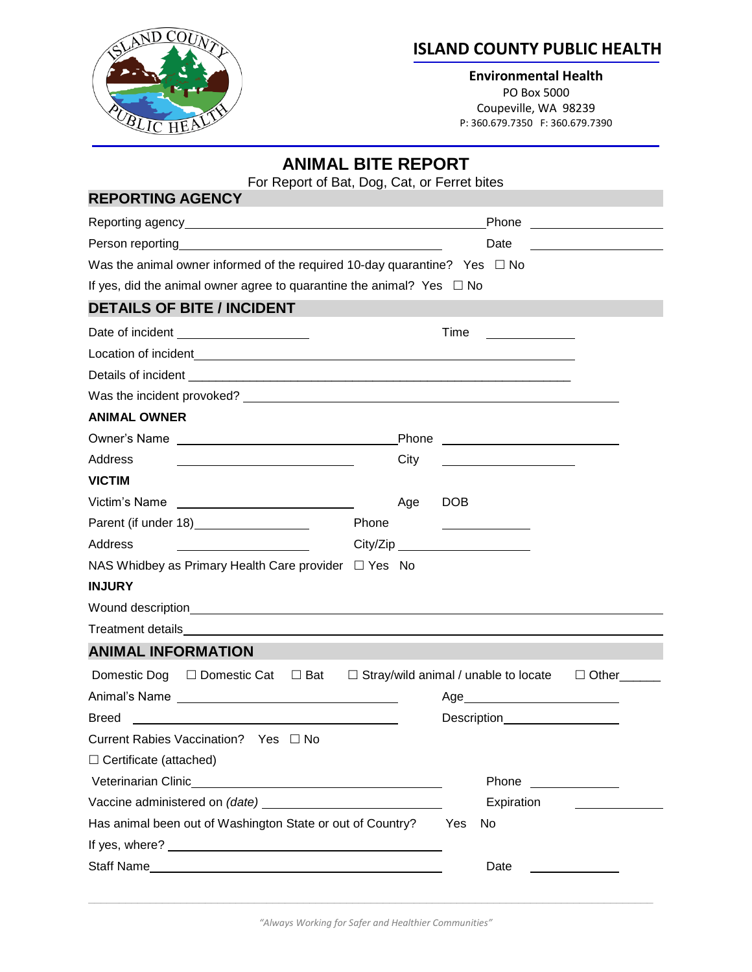

## **ISLAND COUNTY PUBLIC HEALTH**

**Environmental Health** PO Box 5000 Coupeville, WA 98239 P: 360.679.7350 F: 360.679.7390

| <b>ANIMAL BITE REPORT</b><br>For Report of Bat, Dog, Cat, or Ferret bites                                                                                                                                                      |       |                                             |              |  |
|--------------------------------------------------------------------------------------------------------------------------------------------------------------------------------------------------------------------------------|-------|---------------------------------------------|--------------|--|
| <b>REPORTING AGENCY</b>                                                                                                                                                                                                        |       |                                             |              |  |
|                                                                                                                                                                                                                                |       |                                             |              |  |
| Person reporting experience and the property of the set of the set of the set of the set of the set of the set of the set of the set of the set of the set of the set of the set of the set of the set of the set of the set o |       | Date                                        |              |  |
| Was the animal owner informed of the required 10-day quarantine? Yes $\Box$ No                                                                                                                                                 |       |                                             |              |  |
| If yes, did the animal owner agree to quarantine the animal? Yes $\Box$ No                                                                                                                                                     |       |                                             |              |  |
| <b>DETAILS OF BITE / INCIDENT</b>                                                                                                                                                                                              |       |                                             |              |  |
| Date of incident _______________________                                                                                                                                                                                       |       | Time                                        |              |  |
|                                                                                                                                                                                                                                |       |                                             |              |  |
|                                                                                                                                                                                                                                |       |                                             |              |  |
|                                                                                                                                                                                                                                |       |                                             |              |  |
| <b>ANIMAL OWNER</b>                                                                                                                                                                                                            |       |                                             |              |  |
|                                                                                                                                                                                                                                |       |                                             |              |  |
| Address<br><u> 1989 - Johann Barnett, fransk politiker (d. 1989)</u>                                                                                                                                                           | City  |                                             |              |  |
| <b>VICTIM</b>                                                                                                                                                                                                                  |       |                                             |              |  |
| Victim's Name                                                                                                                                                                                                                  | Age   | <b>DOB</b>                                  |              |  |
|                                                                                                                                                                                                                                | Phone | <u> 1980 - Johann Barbara, martxa a</u>     |              |  |
| Address                                                                                                                                                                                                                        |       |                                             |              |  |
| NAS Whidbey as Primary Health Care provider □ Yes No                                                                                                                                                                           |       |                                             |              |  |
| <b>INJURY</b>                                                                                                                                                                                                                  |       |                                             |              |  |
|                                                                                                                                                                                                                                |       |                                             |              |  |
|                                                                                                                                                                                                                                |       |                                             |              |  |
| <b>ANIMAL INFORMATION</b>                                                                                                                                                                                                      |       |                                             |              |  |
| □ Bat<br>Domestic Dog □ Domestic Cat                                                                                                                                                                                           |       | $\Box$ Stray/wild animal / unable to locate | $\Box$ Other |  |
| Animal's Name                                                                                                                                                                                                                  |       | Age_                                        |              |  |
| <b>Breed</b>                                                                                                                                                                                                                   |       | Description<br><u>Description</u>           |              |  |
| Current Rabies Vaccination? Yes □ No                                                                                                                                                                                           |       |                                             |              |  |
| $\Box$ Certificate (attached)                                                                                                                                                                                                  |       |                                             |              |  |
|                                                                                                                                                                                                                                |       | Phone                                       |              |  |
| Vaccine administered on (date) variable variable variable variable variable variable variable variable                                                                                                                         |       | Expiration                                  |              |  |
| Has animal been out of Washington State or out of Country?                                                                                                                                                                     |       | Yes<br>No                                   |              |  |
|                                                                                                                                                                                                                                |       |                                             |              |  |
|                                                                                                                                                                                                                                |       | Date                                        |              |  |

*"Always Working for Safer and Healthier Communities"*